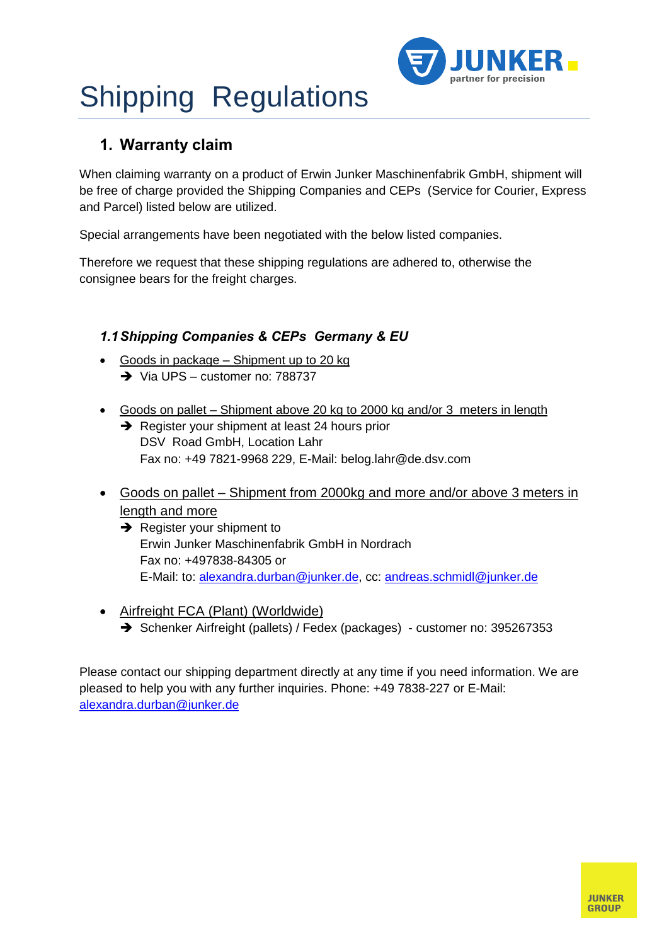

## Shipping Regulations **1. Warranty claim**

When claiming warranty on a product of Erwin Junker Maschinenfabrik GmbH, shipment will be free of charge provided the Shipping Companies and CEPs (Service for Courier, Express and Parcel) listed below are utilized.

Special arrangements have been negotiated with the below listed companies.

Therefore we request that these shipping regulations are adhered to, otherwise the consignee bears for the freight charges.

# **Companies & CEPs Germany & EU**<br>• Goods in package – Shipment up to 20 kg

- Goods in package Shipment up to 20 kg<br>  $\rightarrow$  Via UPS customer no: 788737
- Goods on pallet  $-$  Shipment above 20 kg to 2000 kg and/or 3 meters in length
	- Register your shipment at least 24 hours prior DSV Road GmbH, Location Lahr Fax no:+49 7821-9968 229, E-Mail: belog.lahr@de.dsv.com
- Goods on pallet Shipment from 2000kg and more and/or above 3 meters in length and more
	- $\rightarrow$  Register your shipment to Erwin Junker Maschinenfabrik GmbH in Nordrach Fax no:+497838-84305 or E-Mail: to: alexandra.durban@junker.de, cc: andreas.schmidl@junker.de
- Airfreight FCA (Plant) (Worldwide) Schenker Airfreight (pallets) / Fedex (packages) - customer no: 395267353

Please contact our shipping department directly at any time if you need information. We are pleased to help you with any further inquiries. Phone: +49 7838-227 or E-Mail: alexandra.durban@junker.de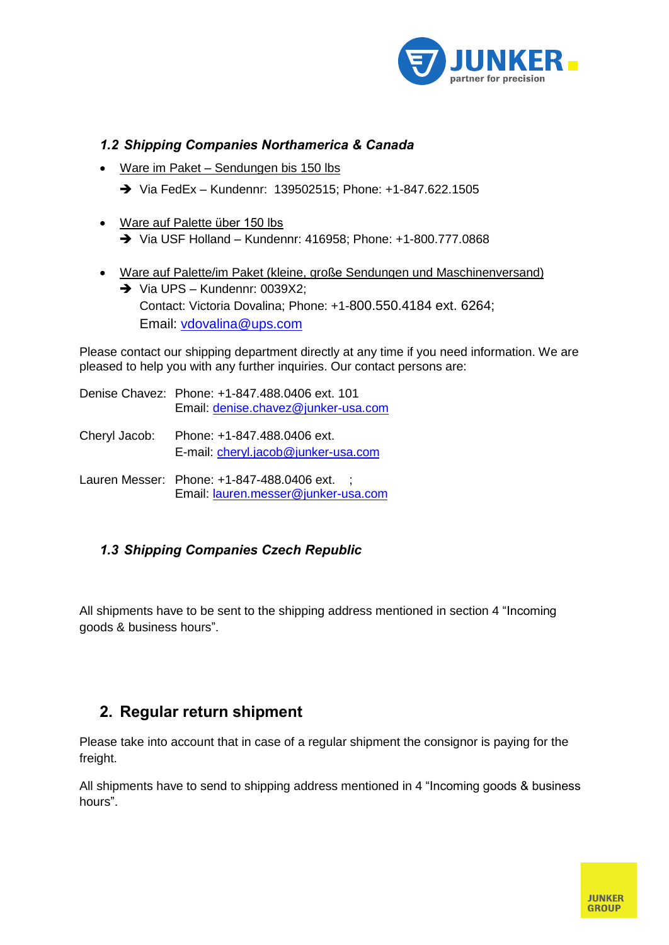

# **Shipping Companies Northamerica & Canada<br>• Ware im Paket – Sendungen bis 150 lbs**

- 
- Via FedEx <sup>ñ</sup> Kundennr: 139502515; Phone: +1-847.622.1505
- → Via FedEx Kundennr: 13950251<br>Ware auf Palette über 150 lbs • Ware auf Palette über 150 lbs<br>  $\rightarrow$  Via USF Holland – Kundennr: 416958: Phone: +1-800.777.0868
- → Via USF Holland Kundennr: 416958; Phone: +1-800.777.0868<br>Ware auf Palette/im Paket (kleine, große Sendungen und Maschinenversand) Via UPS <sup>ñ</sup>Kundennr: 0039X2; Contact: Victoria Dovalina; Phone: +1-800.550.4184 ext. 6264; Email: vdovalina@ups.com

Please contact our shipping department directly at any time if you need information. We are pleased to help you with any further inquiries. Our contact persons are:

- Denise Chavez: Phone: +1-847.488.0406 ext. 101 Email: denise.chavez@junker-usa.com
- Cheryl Jacob: Phone: +1-847.488.0406 ext. E-mail: cheryl.jacob@junker-usa.com
- Lauren Messer: Phone: +1-847-488.0406 ext. : Email: lauren.messer@junker-usa.com

## **Shipping Companies Czech Republic**

All shipments have to be sent to the shipping address mentioned in section 4 "Incoming All shipments have to be sent<br>goods & business hours".

## **Regular return shipment**

Please take into account that in case of a regular shipment the consignor is paying for the freight. freight.<br>All shipments have to send to shipping address mentioned in 4 "Incoming goods & business

ی<br>All ship<br>."hours